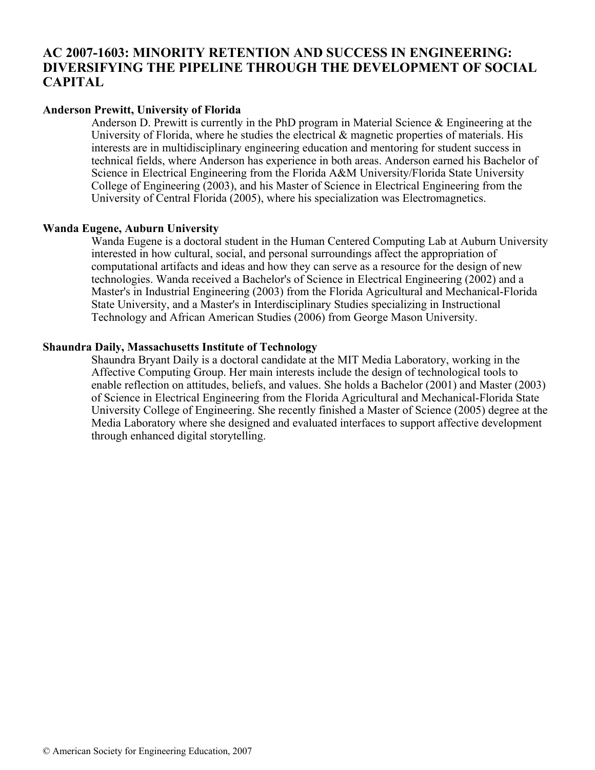# **AC 2007-1603: MINORITY RETENTION AND SUCCESS IN ENGINEERING: DIVERSIFYING THE PIPELINE THROUGH THE DEVELOPMENT OF SOCIAL CAPITAL**

### **Anderson Prewitt, University of Florida**

Anderson D. Prewitt is currently in the PhD program in Material Science & Engineering at the University of Florida, where he studies the electrical  $\&$  magnetic properties of materials. His interests are in multidisciplinary engineering education and mentoring for student success in technical fields, where Anderson has experience in both areas. Anderson earned his Bachelor of Science in Electrical Engineering from the Florida A&M University/Florida State University College of Engineering (2003), and his Master of Science in Electrical Engineering from the University of Central Florida (2005), where his specialization was Electromagnetics.

### **Wanda Eugene, Auburn University**

Wanda Eugene is a doctoral student in the Human Centered Computing Lab at Auburn University interested in how cultural, social, and personal surroundings affect the appropriation of computational artifacts and ideas and how they can serve as a resource for the design of new technologies. Wanda received a Bachelor's of Science in Electrical Engineering (2002) and a Master's in Industrial Engineering (2003) from the Florida Agricultural and Mechanical-Florida State University, and a Master's in Interdisciplinary Studies specializing in Instructional Technology and African American Studies (2006) from George Mason University.

#### **Shaundra Daily, Massachusetts Institute of Technology**

Shaundra Bryant Daily is a doctoral candidate at the MIT Media Laboratory, working in the Affective Computing Group. Her main interests include the design of technological tools to enable reflection on attitudes, beliefs, and values. She holds a Bachelor (2001) and Master (2003) of Science in Electrical Engineering from the Florida Agricultural and Mechanical-Florida State University College of Engineering. She recently finished a Master of Science (2005) degree at the Media Laboratory where she designed and evaluated interfaces to support affective development through enhanced digital storytelling.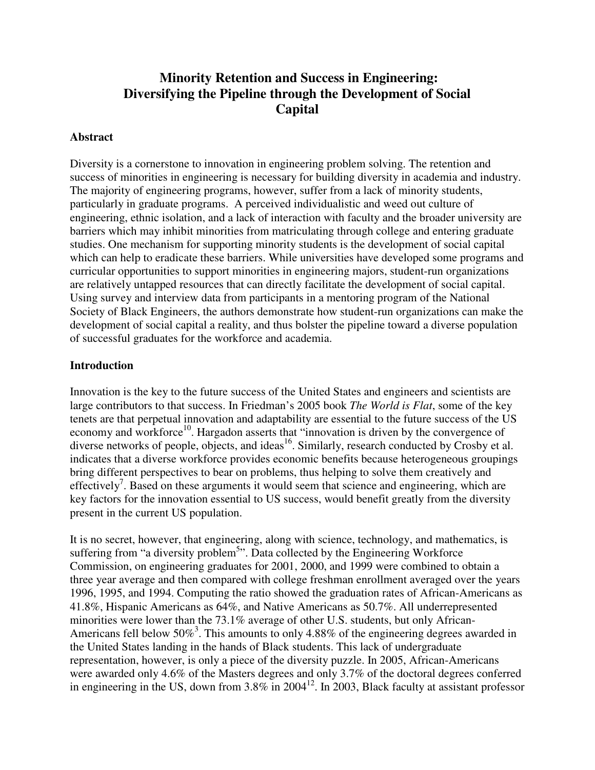# **Minority Retention and Success in Engineering: Diversifying the Pipeline through the Development of Social Capital**

### **Abstract**

Diversity is a cornerstone to innovation in engineering problem solving. The retention and success of minorities in engineering is necessary for building diversity in academia and industry. The majority of engineering programs, however, suffer from a lack of minority students, particularly in graduate programs. A perceived individualistic and weed out culture of engineering, ethnic isolation, and a lack of interaction with faculty and the broader university are barriers which may inhibit minorities from matriculating through college and entering graduate studies. One mechanism for supporting minority students is the development of social capital which can help to eradicate these barriers. While universities have developed some programs and curricular opportunities to support minorities in engineering majors, student-run organizations are relatively untapped resources that can directly facilitate the development of social capital. Using survey and interview data from participants in a mentoring program of the National Society of Black Engineers, the authors demonstrate how student-run organizations can make the development of social capital a reality, and thus bolster the pipeline toward a diverse population of successful graduates for the workforce and academia.

#### **Introduction**

Innovation is the key to the future success of the United States and engineers and scientists are large contributors to that success. In Friedman's 2005 book *The World is Flat*, some of the key tenets are that perpetual innovation and adaptability are essential to the future success of the US economy and workforce<sup>10</sup>. Hargadon asserts that "innovation is driven by the convergence of diverse networks of people, objects, and ideas<sup>16</sup>. Similarly, research conducted by Crosby et al. indicates that a diverse workforce provides economic benefits because heterogeneous groupings bring different perspectives to bear on problems, thus helping to solve them creatively and effectively<sup>7</sup>. Based on these arguments it would seem that science and engineering, which are key factors for the innovation essential to US success, would benefit greatly from the diversity present in the current US population.

It is no secret, however, that engineering, along with science, technology, and mathematics, is suffering from "a diversity problem<sup>5</sup>". Data collected by the Engineering Workforce Commission, on engineering graduates for 2001, 2000, and 1999 were combined to obtain a three year average and then compared with college freshman enrollment averaged over the years 1996, 1995, and 1994. Computing the ratio showed the graduation rates of African-Americans as 41.8%, Hispanic Americans as 64%, and Native Americans as 50.7%. All underrepresented minorities were lower than the 73.1% average of other U.S. students, but only African-Americans fell below  $50\%$ <sup>3</sup>. This amounts to only 4.88% of the engineering degrees awarded in the United States landing in the hands of Black students. This lack of undergraduate representation, however, is only a piece of the diversity puzzle. In 2005, African-Americans were awarded only 4.6% of the Masters degrees and only 3.7% of the doctoral degrees conferred in engineering in the US, down from 3.8% in 2004<sup>12</sup>. In 2003, Black faculty at assistant professor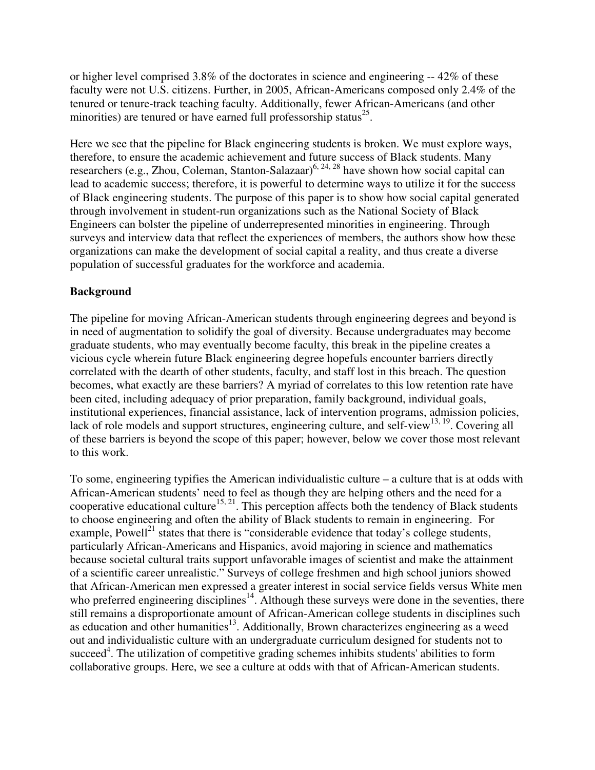or higher level comprised 3.8% of the doctorates in science and engineering -- 42% of these faculty were not U.S. citizens. Further, in 2005, African-Americans composed only 2.4% of the tenured or tenure-track teaching faculty. Additionally, fewer African-Americans (and other minorities) are tenured or have earned full professorship status $^{25}$ .

Here we see that the pipeline for Black engineering students is broken. We must explore ways, therefore, to ensure the academic achievement and future success of Black students. Many researchers (e.g., Zhou, Coleman, Stanton-Salazaar)<sup>6, 24, 28</sup> have shown how social capital can lead to academic success; therefore, it is powerful to determine ways to utilize it for the success of Black engineering students. The purpose of this paper is to show how social capital generated through involvement in student-run organizations such as the National Society of Black Engineers can bolster the pipeline of underrepresented minorities in engineering. Through surveys and interview data that reflect the experiences of members, the authors show how these organizations can make the development of social capital a reality, and thus create a diverse population of successful graduates for the workforce and academia.

## **Background**

The pipeline for moving African-American students through engineering degrees and beyond is in need of augmentation to solidify the goal of diversity. Because undergraduates may become graduate students, who may eventually become faculty, this break in the pipeline creates a vicious cycle wherein future Black engineering degree hopefuls encounter barriers directly correlated with the dearth of other students, faculty, and staff lost in this breach. The question becomes, what exactly are these barriers? A myriad of correlates to this low retention rate have been cited, including adequacy of prior preparation, family background, individual goals, institutional experiences, financial assistance, lack of intervention programs, admission policies, lack of role models and support structures, engineering culture, and self-view<sup>13, 19</sup>. Covering all of these barriers is beyond the scope of this paper; however, below we cover those most relevant to this work.

To some, engineering typifies the American individualistic culture – a culture that is at odds with African-American students' need to feel as though they are helping others and the need for a cooperative educational culture<sup>15, 21</sup>. This perception affects both the tendency of Black students to choose engineering and often the ability of Black students to remain in engineering. For example, Powell<sup>21</sup> states that there is "considerable evidence that today's college students, particularly African-Americans and Hispanics, avoid majoring in science and mathematics because societal cultural traits support unfavorable images of scientist and make the attainment of a scientific career unrealistic." Surveys of college freshmen and high school juniors showed that African-American men expressed a greater interest in social service fields versus White men who preferred engineering disciplines<sup>14</sup>. Although these surveys were done in the seventies, there still remains a disproportionate amount of African-American college students in disciplines such as education and other humanities $13$ . Additionally, Brown characterizes engineering as a weed out and individualistic culture with an undergraduate curriculum designed for students not to succeed<sup>4</sup>. The utilization of competitive grading schemes inhibits students' abilities to form collaborative groups. Here, we see a culture at odds with that of African-American students.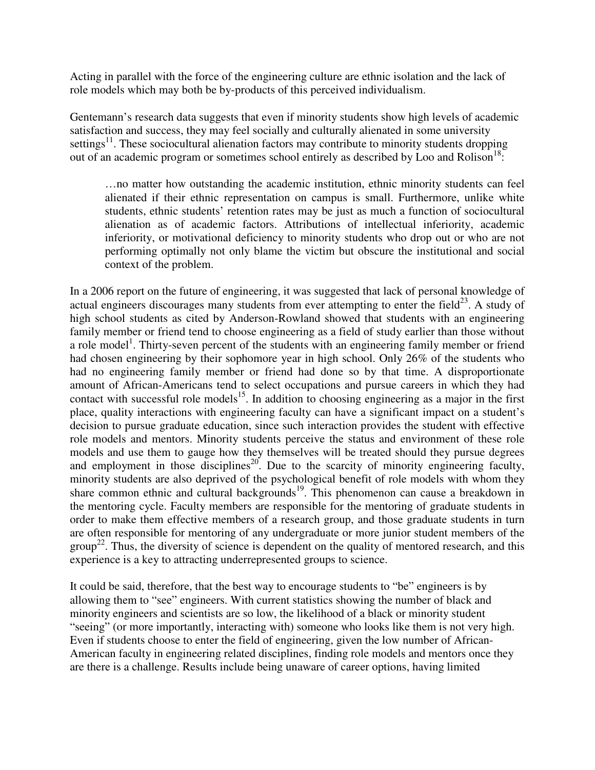Acting in parallel with the force of the engineering culture are ethnic isolation and the lack of role models which may both be by-products of this perceived individualism.

Gentemann's research data suggests that even if minority students show high levels of academic satisfaction and success, they may feel socially and culturally alienated in some university settings<sup>11</sup>. These sociocultural alienation factors may contribute to minority students dropping out of an academic program or sometimes school entirely as described by Loo and Rolison<sup>18</sup>:

…no matter how outstanding the academic institution, ethnic minority students can feel alienated if their ethnic representation on campus is small. Furthermore, unlike white students, ethnic students' retention rates may be just as much a function of sociocultural alienation as of academic factors. Attributions of intellectual inferiority, academic inferiority, or motivational deficiency to minority students who drop out or who are not performing optimally not only blame the victim but obscure the institutional and social context of the problem.

In a 2006 report on the future of engineering, it was suggested that lack of personal knowledge of actual engineers discourages many students from ever attempting to enter the field $^{23}$ . A study of high school students as cited by Anderson-Rowland showed that students with an engineering family member or friend tend to choose engineering as a field of study earlier than those without a role model<sup>1</sup>. Thirty-seven percent of the students with an engineering family member or friend had chosen engineering by their sophomore year in high school. Only 26% of the students who had no engineering family member or friend had done so by that time. A disproportionate amount of African-Americans tend to select occupations and pursue careers in which they had contact with successful role models<sup>15</sup>. In addition to choosing engineering as a major in the first place, quality interactions with engineering faculty can have a significant impact on a student's decision to pursue graduate education, since such interaction provides the student with effective role models and mentors. Minority students perceive the status and environment of these role models and use them to gauge how they themselves will be treated should they pursue degrees and employment in those disciplines<sup>20</sup>. Due to the scarcity of minority engineering faculty, minority students are also deprived of the psychological benefit of role models with whom they share common ethnic and cultural backgrounds<sup>19</sup>. This phenomenon can cause a breakdown in the mentoring cycle. Faculty members are responsible for the mentoring of graduate students in order to make them effective members of a research group, and those graduate students in turn are often responsible for mentoring of any undergraduate or more junior student members of the  $group<sup>22</sup>$ . Thus, the diversity of science is dependent on the quality of mentored research, and this experience is a key to attracting underrepresented groups to science.

It could be said, therefore, that the best way to encourage students to "be" engineers is by allowing them to "see" engineers. With current statistics showing the number of black and minority engineers and scientists are so low, the likelihood of a black or minority student "seeing" (or more importantly, interacting with) someone who looks like them is not very high. Even if students choose to enter the field of engineering, given the low number of African-American faculty in engineering related disciplines, finding role models and mentors once they are there is a challenge. Results include being unaware of career options, having limited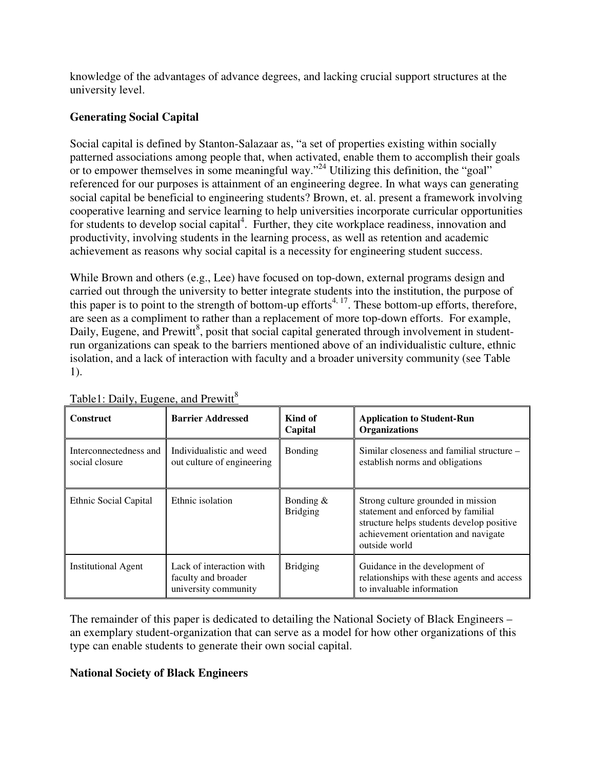knowledge of the advantages of advance degrees, and lacking crucial support structures at the university level.

# **Generating Social Capital**

Social capital is defined by Stanton-Salazaar as, "a set of properties existing within socially patterned associations among people that, when activated, enable them to accomplish their goals or to empower themselves in some meaningful way."<sup>24</sup> Utilizing this definition, the "goal" referenced for our purposes is attainment of an engineering degree. In what ways can generating social capital be beneficial to engineering students? Brown, et. al. present a framework involving cooperative learning and service learning to help universities incorporate curricular opportunities for students to develop social capital<sup>4</sup>. Further, they cite workplace readiness, innovation and productivity, involving students in the learning process, as well as retention and academic achievement as reasons why social capital is a necessity for engineering student success.

While Brown and others (e.g., Lee) have focused on top-down, external programs design and carried out through the university to better integrate students into the institution, the purpose of this paper is to point to the strength of bottom-up efforts<sup>4, 17</sup>. These bottom-up efforts, therefore, are seen as a compliment to rather than a replacement of more top-down efforts. For example, Daily, Eugene, and Prewitt<sup>8</sup>, posit that social capital generated through involvement in studentrun organizations can speak to the barriers mentioned above of an individualistic culture, ethnic isolation, and a lack of interaction with faculty and a broader university community (see Table 1).

| <b>Construct</b>                         | <b>Barrier Addressed</b>                                                | Kind of<br>Capital             | <b>Application to Student-Run</b><br><b>Organizations</b>                                                                                                                      |
|------------------------------------------|-------------------------------------------------------------------------|--------------------------------|--------------------------------------------------------------------------------------------------------------------------------------------------------------------------------|
| Interconnectedness and<br>social closure | Individualistic and weed<br>out culture of engineering                  | <b>Bonding</b>                 | Similar closeness and familial structure –<br>establish norms and obligations                                                                                                  |
| Ethnic Social Capital                    | Ethnic isolation                                                        | Bonding $&$<br><b>Bridging</b> | Strong culture grounded in mission<br>statement and enforced by familial<br>structure helps students develop positive<br>achievement orientation and navigate<br>outside world |
| <b>Institutional Agent</b>               | Lack of interaction with<br>faculty and broader<br>university community | <b>Bridging</b>                | Guidance in the development of<br>relationships with these agents and access<br>to invaluable information                                                                      |

Table1: Daily, Eugene, and Prewitt<sup>8</sup>

The remainder of this paper is dedicated to detailing the National Society of Black Engineers – an exemplary student-organization that can serve as a model for how other organizations of this type can enable students to generate their own social capital.

### **National Society of Black Engineers**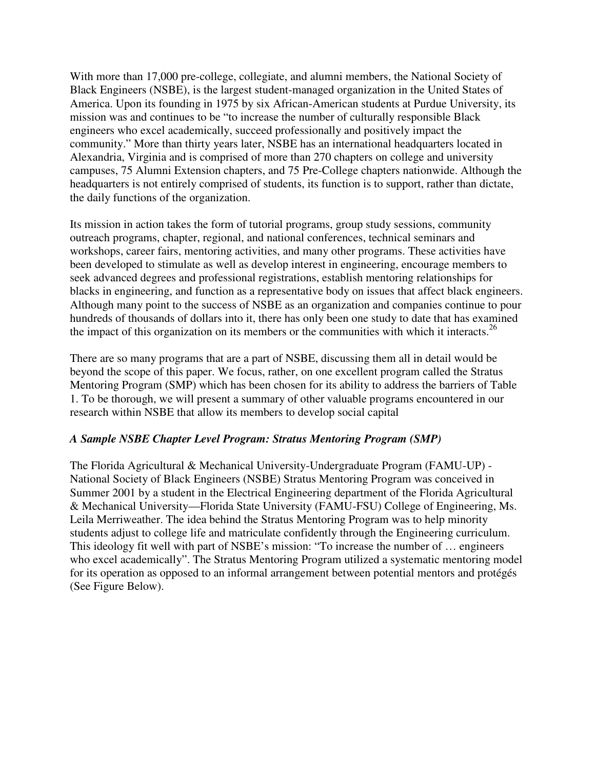With more than 17,000 pre-college, collegiate, and alumni members, the National Society of Black Engineers (NSBE), is the largest student-managed organization in the United States of America. Upon its founding in 1975 by six African-American students at Purdue University, its mission was and continues to be "to increase the number of culturally responsible Black engineers who excel academically, succeed professionally and positively impact the community." More than thirty years later, NSBE has an international headquarters located in Alexandria, Virginia and is comprised of more than 270 chapters on college and university campuses, 75 Alumni Extension chapters, and 75 Pre-College chapters nationwide. Although the headquarters is not entirely comprised of students, its function is to support, rather than dictate, the daily functions of the organization.

Its mission in action takes the form of tutorial programs, group study sessions, community outreach programs, chapter, regional, and national conferences, technical seminars and workshops, career fairs, mentoring activities, and many other programs. These activities have been developed to stimulate as well as develop interest in engineering, encourage members to seek advanced degrees and professional registrations, establish mentoring relationships for blacks in engineering, and function as a representative body on issues that affect black engineers. Although many point to the success of NSBE as an organization and companies continue to pour hundreds of thousands of dollars into it, there has only been one study to date that has examined the impact of this organization on its members or the communities with which it interacts.<sup>26</sup>

There are so many programs that are a part of NSBE, discussing them all in detail would be beyond the scope of this paper. We focus, rather, on one excellent program called the Stratus Mentoring Program (SMP) which has been chosen for its ability to address the barriers of Table 1. To be thorough, we will present a summary of other valuable programs encountered in our research within NSBE that allow its members to develop social capital

### *A Sample NSBE Chapter Level Program: Stratus Mentoring Program (SMP)*

The Florida Agricultural & Mechanical University-Undergraduate Program (FAMU-UP) - National Society of Black Engineers (NSBE) Stratus Mentoring Program was conceived in Summer 2001 by a student in the Electrical Engineering department of the Florida Agricultural & Mechanical University—Florida State University (FAMU-FSU) College of Engineering, Ms. Leila Merriweather. The idea behind the Stratus Mentoring Program was to help minority students adjust to college life and matriculate confidently through the Engineering curriculum. This ideology fit well with part of NSBE's mission: "To increase the number of … engineers who excel academically". The Stratus Mentoring Program utilized a systematic mentoring model for its operation as opposed to an informal arrangement between potential mentors and protégés (See Figure Below).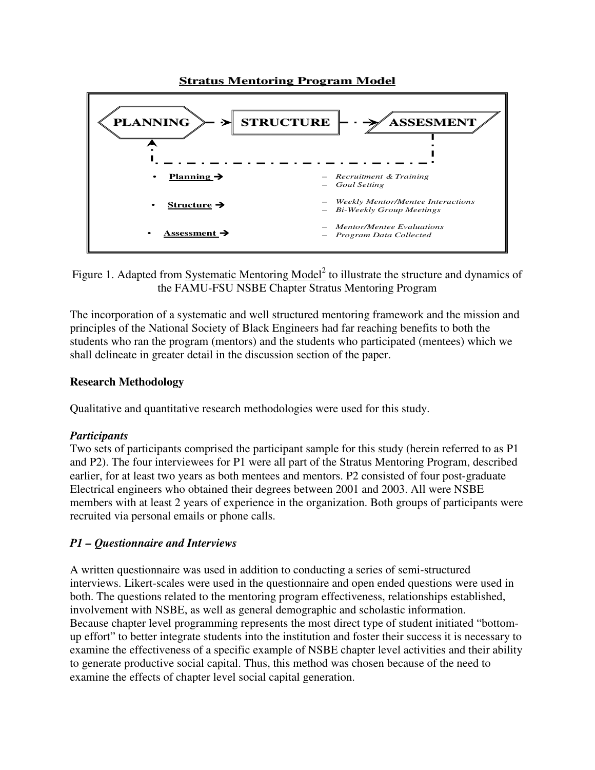

Figure 1. Adapted from **Systematic Mentoring Model**<sup>2</sup> to illustrate the structure and dynamics of the FAMU-FSU NSBE Chapter Stratus Mentoring Program

The incorporation of a systematic and well structured mentoring framework and the mission and principles of the National Society of Black Engineers had far reaching benefits to both the students who ran the program (mentors) and the students who participated (mentees) which we shall delineate in greater detail in the discussion section of the paper.

### **Research Methodology**

Qualitative and quantitative research methodologies were used for this study.

### *Participants*

Two sets of participants comprised the participant sample for this study (herein referred to as P1 and P2). The four interviewees for P1 were all part of the Stratus Mentoring Program, described earlier, for at least two years as both mentees and mentors. P2 consisted of four post-graduate Electrical engineers who obtained their degrees between 2001 and 2003. All were NSBE members with at least 2 years of experience in the organization. Both groups of participants were recruited via personal emails or phone calls.

### *P1 – Questionnaire and Interviews*

A written questionnaire was used in addition to conducting a series of semi-structured interviews. Likert-scales were used in the questionnaire and open ended questions were used in both. The questions related to the mentoring program effectiveness, relationships established, involvement with NSBE, as well as general demographic and scholastic information. Because chapter level programming represents the most direct type of student initiated "bottomup effort" to better integrate students into the institution and foster their success it is necessary to examine the effectiveness of a specific example of NSBE chapter level activities and their ability to generate productive social capital. Thus, this method was chosen because of the need to examine the effects of chapter level social capital generation.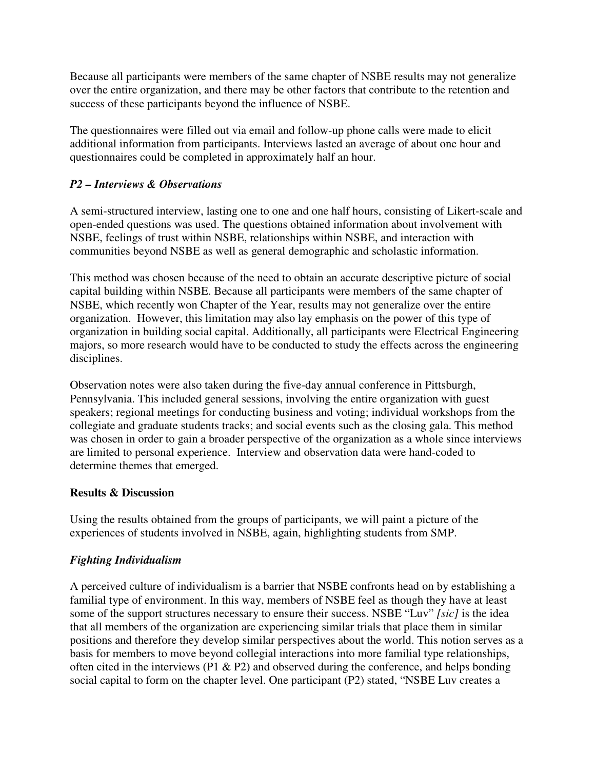Because all participants were members of the same chapter of NSBE results may not generalize over the entire organization, and there may be other factors that contribute to the retention and success of these participants beyond the influence of NSBE.

The questionnaires were filled out via email and follow-up phone calls were made to elicit additional information from participants. Interviews lasted an average of about one hour and questionnaires could be completed in approximately half an hour.

### *P2 – Interviews & Observations*

A semi-structured interview, lasting one to one and one half hours, consisting of Likert-scale and open-ended questions was used. The questions obtained information about involvement with NSBE, feelings of trust within NSBE, relationships within NSBE, and interaction with communities beyond NSBE as well as general demographic and scholastic information.

This method was chosen because of the need to obtain an accurate descriptive picture of social capital building within NSBE. Because all participants were members of the same chapter of NSBE, which recently won Chapter of the Year, results may not generalize over the entire organization. However, this limitation may also lay emphasis on the power of this type of organization in building social capital. Additionally, all participants were Electrical Engineering majors, so more research would have to be conducted to study the effects across the engineering disciplines.

Observation notes were also taken during the five-day annual conference in Pittsburgh, Pennsylvania. This included general sessions, involving the entire organization with guest speakers; regional meetings for conducting business and voting; individual workshops from the collegiate and graduate students tracks; and social events such as the closing gala. This method was chosen in order to gain a broader perspective of the organization as a whole since interviews are limited to personal experience. Interview and observation data were hand-coded to determine themes that emerged.

### **Results & Discussion**

Using the results obtained from the groups of participants, we will paint a picture of the experiences of students involved in NSBE, again, highlighting students from SMP.

### *Fighting Individualism*

A perceived culture of individualism is a barrier that NSBE confronts head on by establishing a familial type of environment. In this way, members of NSBE feel as though they have at least some of the support structures necessary to ensure their success. NSBE "Luv" *[sic]* is the idea that all members of the organization are experiencing similar trials that place them in similar positions and therefore they develop similar perspectives about the world. This notion serves as a basis for members to move beyond collegial interactions into more familial type relationships, often cited in the interviews (P1  $\&$  P2) and observed during the conference, and helps bonding social capital to form on the chapter level. One participant (P2) stated, "NSBE Luv creates a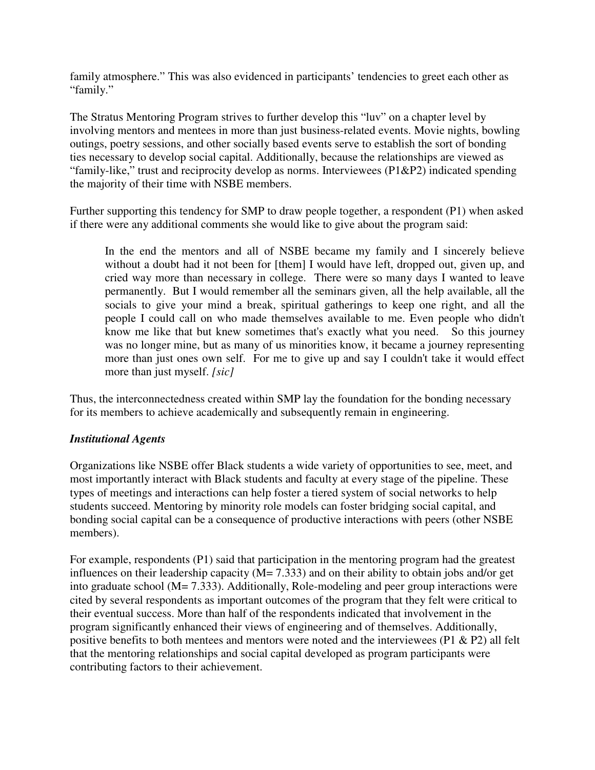family atmosphere." This was also evidenced in participants' tendencies to greet each other as "family."

The Stratus Mentoring Program strives to further develop this "luv" on a chapter level by involving mentors and mentees in more than just business-related events. Movie nights, bowling outings, poetry sessions, and other socially based events serve to establish the sort of bonding ties necessary to develop social capital. Additionally, because the relationships are viewed as "family-like," trust and reciprocity develop as norms. Interviewees (P1&P2) indicated spending the majority of their time with NSBE members.

Further supporting this tendency for SMP to draw people together, a respondent (P1) when asked if there were any additional comments she would like to give about the program said:

In the end the mentors and all of NSBE became my family and I sincerely believe without a doubt had it not been for [them] I would have left, dropped out, given up, and cried way more than necessary in college. There were so many days I wanted to leave permanently. But I would remember all the seminars given, all the help available, all the socials to give your mind a break, spiritual gatherings to keep one right, and all the people I could call on who made themselves available to me. Even people who didn't know me like that but knew sometimes that's exactly what you need. So this journey was no longer mine, but as many of us minorities know, it became a journey representing more than just ones own self. For me to give up and say I couldn't take it would effect more than just myself. *[sic]*

Thus, the interconnectedness created within SMP lay the foundation for the bonding necessary for its members to achieve academically and subsequently remain in engineering.

### *Institutional Agents*

Organizations like NSBE offer Black students a wide variety of opportunities to see, meet, and most importantly interact with Black students and faculty at every stage of the pipeline. These types of meetings and interactions can help foster a tiered system of social networks to help students succeed. Mentoring by minority role models can foster bridging social capital, and bonding social capital can be a consequence of productive interactions with peers (other NSBE members).

For example, respondents (P1) said that participation in the mentoring program had the greatest influences on their leadership capacity ( $\dot{M}$  = 7.333) and on their ability to obtain jobs and/or get into graduate school (M= 7.333). Additionally, Role-modeling and peer group interactions were cited by several respondents as important outcomes of the program that they felt were critical to their eventual success. More than half of the respondents indicated that involvement in the program significantly enhanced their views of engineering and of themselves. Additionally, positive benefits to both mentees and mentors were noted and the interviewees (P1 & P2) all felt that the mentoring relationships and social capital developed as program participants were contributing factors to their achievement.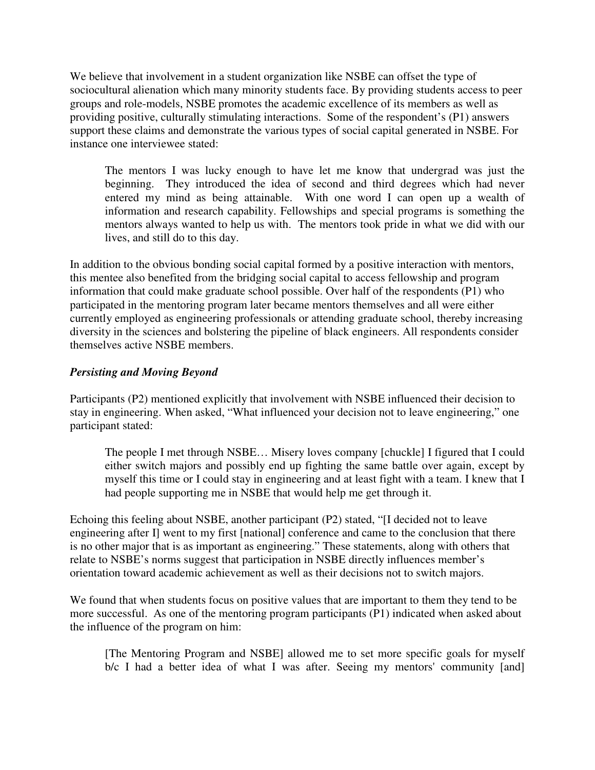We believe that involvement in a student organization like NSBE can offset the type of sociocultural alienation which many minority students face. By providing students access to peer groups and role-models, NSBE promotes the academic excellence of its members as well as providing positive, culturally stimulating interactions. Some of the respondent's (P1) answers support these claims and demonstrate the various types of social capital generated in NSBE. For instance one interviewee stated:

The mentors I was lucky enough to have let me know that undergrad was just the beginning. They introduced the idea of second and third degrees which had never entered my mind as being attainable. With one word I can open up a wealth of information and research capability. Fellowships and special programs is something the mentors always wanted to help us with. The mentors took pride in what we did with our lives, and still do to this day.

In addition to the obvious bonding social capital formed by a positive interaction with mentors, this mentee also benefited from the bridging social capital to access fellowship and program information that could make graduate school possible. Over half of the respondents (P1) who participated in the mentoring program later became mentors themselves and all were either currently employed as engineering professionals or attending graduate school, thereby increasing diversity in the sciences and bolstering the pipeline of black engineers. All respondents consider themselves active NSBE members.

### *Persisting and Moving Beyond*

Participants (P2) mentioned explicitly that involvement with NSBE influenced their decision to stay in engineering. When asked, "What influenced your decision not to leave engineering," one participant stated:

The people I met through NSBE… Misery loves company [chuckle] I figured that I could either switch majors and possibly end up fighting the same battle over again, except by myself this time or I could stay in engineering and at least fight with a team. I knew that I had people supporting me in NSBE that would help me get through it.

Echoing this feeling about NSBE, another participant (P2) stated, "[I decided not to leave engineering after I] went to my first [national] conference and came to the conclusion that there is no other major that is as important as engineering." These statements, along with others that relate to NSBE's norms suggest that participation in NSBE directly influences member's orientation toward academic achievement as well as their decisions not to switch majors.

We found that when students focus on positive values that are important to them they tend to be more successful. As one of the mentoring program participants (P1) indicated when asked about the influence of the program on him:

[The Mentoring Program and NSBE] allowed me to set more specific goals for myself b/c I had a better idea of what I was after. Seeing my mentors' community [and]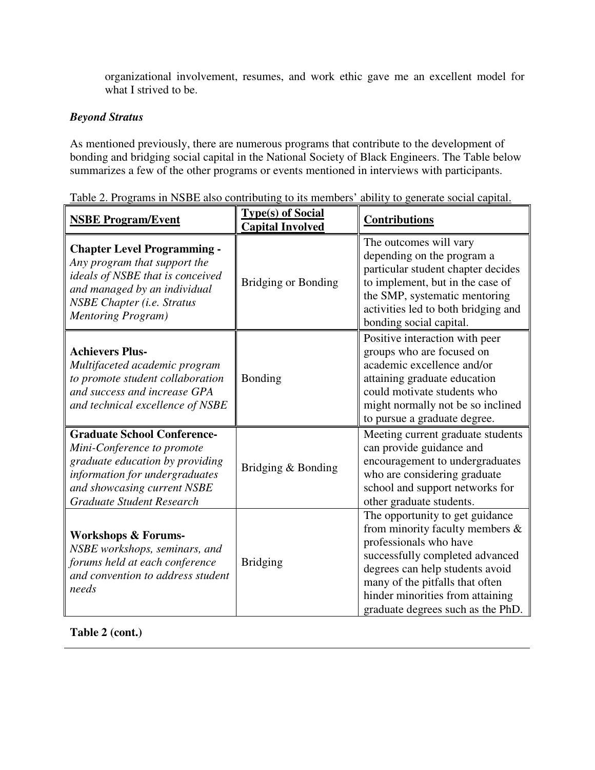organizational involvement, resumes, and work ethic gave me an excellent model for what I strived to be.

### *Beyond Stratus*

As mentioned previously, there are numerous programs that contribute to the development of bonding and bridging social capital in the National Society of Black Engineers. The Table below summarizes a few of the other programs or events mentioned in interviews with participants.

| <b>NSBE Program/Event</b>                                                                                                                                                                                 | <b>Type(s)</b> of Social<br><b>Capital Involved</b> | <b>Contributions</b>                                                                                                                                                                                                                                                              |
|-----------------------------------------------------------------------------------------------------------------------------------------------------------------------------------------------------------|-----------------------------------------------------|-----------------------------------------------------------------------------------------------------------------------------------------------------------------------------------------------------------------------------------------------------------------------------------|
| <b>Chapter Level Programming -</b><br>Any program that support the<br>ideals of NSBE that is conceived<br>and managed by an individual<br><b>NSBE Chapter (i.e. Stratus</b><br><b>Mentoring Program</b> ) | <b>Bridging or Bonding</b>                          | The outcomes will vary<br>depending on the program a<br>particular student chapter decides<br>to implement, but in the case of<br>the SMP, systematic mentoring<br>activities led to both bridging and<br>bonding social capital.                                                 |
| <b>Achievers Plus-</b><br>Multifaceted academic program<br>to promote student collaboration<br>and success and increase GPA<br>and technical excellence of NSBE                                           | Bonding                                             | Positive interaction with peer<br>groups who are focused on<br>academic excellence and/or<br>attaining graduate education<br>could motivate students who<br>might normally not be so inclined<br>to pursue a graduate degree.                                                     |
| <b>Graduate School Conference-</b><br>Mini-Conference to promote<br>graduate education by providing<br>information for undergraduates<br>and showcasing current NSBE<br><b>Graduate Student Research</b>  | Bridging & Bonding                                  | Meeting current graduate students<br>can provide guidance and<br>encouragement to undergraduates<br>who are considering graduate<br>school and support networks for<br>other graduate students.                                                                                   |
| <b>Workshops &amp; Forums-</b><br>NSBE workshops, seminars, and<br>forums held at each conference<br>and convention to address student<br>needs                                                           | <b>Bridging</b>                                     | The opportunity to get guidance<br>from minority faculty members $\&$<br>professionals who have<br>successfully completed advanced<br>degrees can help students avoid<br>many of the pitfalls that often<br>hinder minorities from attaining<br>graduate degrees such as the PhD. |

Table 2. Programs in NSBE also contributing to its members' ability to generate social capital.

**Table 2 (cont.)**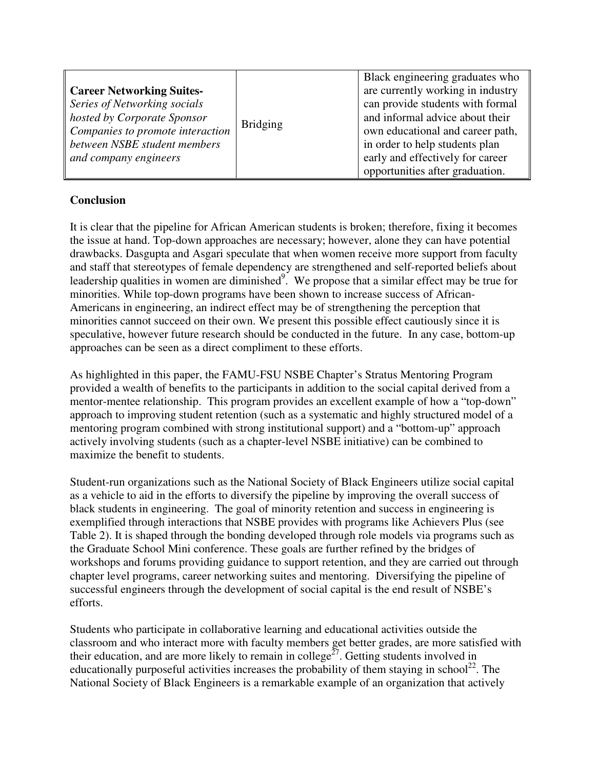|                                  |                 | Black engineering graduates who   |
|----------------------------------|-----------------|-----------------------------------|
| <b>Career Networking Suites-</b> | <b>Bridging</b> | are currently working in industry |
| Series of Networking socials     |                 | can provide students with formal  |
| hosted by Corporate Sponsor      |                 | and informal advice about their   |
| Companies to promote interaction |                 | own educational and career path,  |
| between NSBE student members     |                 | in order to help students plan    |
| and company engineers            |                 | early and effectively for career  |
|                                  |                 | opportunities after graduation.   |

## **Conclusion**

It is clear that the pipeline for African American students is broken; therefore, fixing it becomes the issue at hand. Top-down approaches are necessary; however, alone they can have potential drawbacks. Dasgupta and Asgari speculate that when women receive more support from faculty and staff that stereotypes of female dependency are strengthened and self-reported beliefs about leadership qualities in women are diminished<sup>9</sup>. We propose that a similar effect may be true for minorities. While top-down programs have been shown to increase success of African-Americans in engineering, an indirect effect may be of strengthening the perception that minorities cannot succeed on their own. We present this possible effect cautiously since it is speculative, however future research should be conducted in the future. In any case, bottom-up approaches can be seen as a direct compliment to these efforts.

As highlighted in this paper, the FAMU-FSU NSBE Chapter's Stratus Mentoring Program provided a wealth of benefits to the participants in addition to the social capital derived from a mentor-mentee relationship. This program provides an excellent example of how a "top-down" approach to improving student retention (such as a systematic and highly structured model of a mentoring program combined with strong institutional support) and a "bottom-up" approach actively involving students (such as a chapter-level NSBE initiative) can be combined to maximize the benefit to students.

Student-run organizations such as the National Society of Black Engineers utilize social capital as a vehicle to aid in the efforts to diversify the pipeline by improving the overall success of black students in engineering. The goal of minority retention and success in engineering is exemplified through interactions that NSBE provides with programs like Achievers Plus (see Table 2). It is shaped through the bonding developed through role models via programs such as the Graduate School Mini conference. These goals are further refined by the bridges of workshops and forums providing guidance to support retention, and they are carried out through chapter level programs, career networking suites and mentoring. Diversifying the pipeline of successful engineers through the development of social capital is the end result of NSBE's efforts.

Students who participate in collaborative learning and educational activities outside the classroom and who interact more with faculty members get better grades, are more satisfied with their education, and are more likely to remain in college<sup> $27$ </sup>. Getting students involved in educationally purposeful activities increases the probability of them staying in school<sup>22</sup>. The National Society of Black Engineers is a remarkable example of an organization that actively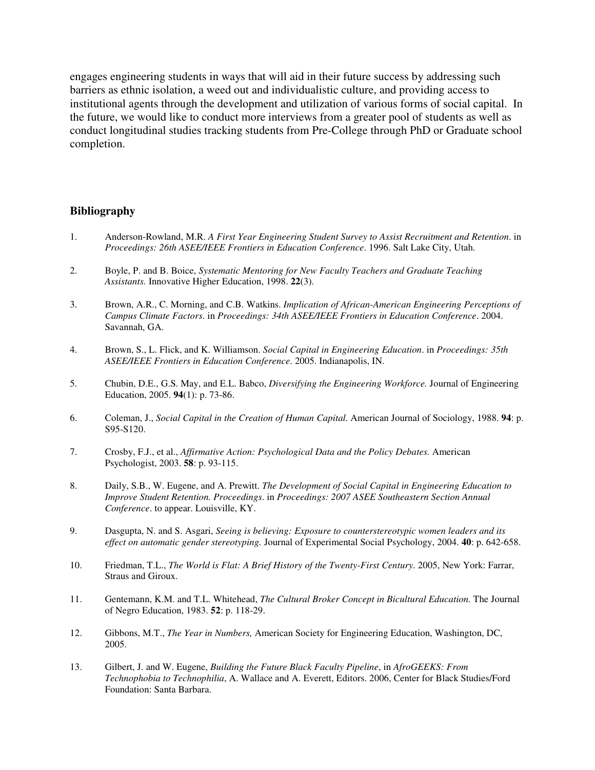engages engineering students in ways that will aid in their future success by addressing such barriers as ethnic isolation, a weed out and individualistic culture, and providing access to institutional agents through the development and utilization of various forms of social capital. In the future, we would like to conduct more interviews from a greater pool of students as well as conduct longitudinal studies tracking students from Pre-College through PhD or Graduate school completion.

#### **Bibliography**

- 1. Anderson-Rowland, M.R. *A First Year Engineering Student Survey to Assist Recruitment and Retention*. in *Proceedings: 26th ASEE/IEEE Frontiers in Education Conference*. 1996. Salt Lake City, Utah.
- 2. Boyle, P. and B. Boice, *Systematic Mentoring for New Faculty Teachers and Graduate Teaching Assistants.* Innovative Higher Education, 1998. **22**(3).
- 3. Brown, A.R., C. Morning, and C.B. Watkins. *Implication of African-American Engineering Perceptions of Campus Climate Factors*. in *Proceedings: 34th ASEE/IEEE Frontiers in Education Conference*. 2004. Savannah, GA.
- 4. Brown, S., L. Flick, and K. Williamson. *Social Capital in Engineering Education*. in *Proceedings: 35th ASEE/IEEE Frontiers in Education Conference*. 2005. Indianapolis, IN.
- 5. Chubin, D.E., G.S. May, and E.L. Babco, *Diversifying the Engineering Workforce.* Journal of Engineering Education, 2005. **94**(1): p. 73-86.
- 6. Coleman, J., *Social Capital in the Creation of Human Capital.* American Journal of Sociology, 1988. **94**: p. S95-S120.
- 7. Crosby, F.J., et al., *Affirmative Action: Psychological Data and the Policy Debates.* American Psychologist, 2003. **58**: p. 93-115.
- 8. Daily, S.B., W. Eugene, and A. Prewitt. *The Development of Social Capital in Engineering Education to Improve Student Retention. Proceedings*. in *Proceedings: 2007 ASEE Southeastern Section Annual Conference*. to appear. Louisville, KY.
- 9. Dasgupta, N. and S. Asgari, *Seeing is believing: Exposure to counterstereotypic women leaders and its effect on automatic gender stereotyping.* Journal of Experimental Social Psychology, 2004. **40**: p. 642-658.
- 10. Friedman, T.L., *The World is Flat: A Brief History of the Twenty-First Century*. 2005, New York: Farrar, Straus and Giroux.
- 11. Gentemann, K.M. and T.L. Whitehead, *The Cultural Broker Concept in Bicultural Education.* The Journal of Negro Education, 1983. **52**: p. 118-29.
- 12. Gibbons, M.T., *The Year in Numbers,* American Society for Engineering Education, Washington, DC, 2005.
- 13. Gilbert, J. and W. Eugene, *Building the Future Black Faculty Pipeline*, in *AfroGEEKS: From Technophobia to Technophilia*, A. Wallace and A. Everett, Editors. 2006, Center for Black Studies/Ford Foundation: Santa Barbara.